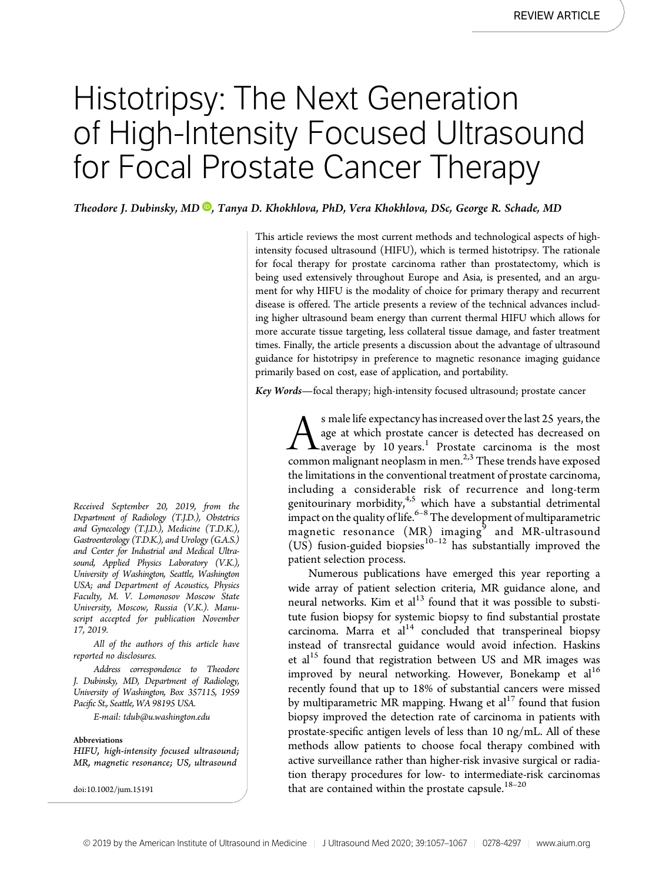# Histotripsy: The Next Generation of High-Intensity Focused Ultrasound for Focal Prostate Cancer Therapy

Theodore J. Dubinsky[,](https://orcid.org/0000-0003-3300-9549) MD <sup>®</sup>, Tanya D. Khokhlova, PhD, Vera Khokhlova, DSc, George R. Schade, MD

This article reviews the most current methods and technological aspects of highintensity focused ultrasound (HIFU), which is termed histotripsy. The rationale for focal therapy for prostate carcinoma rather than prostatectomy, which is being used extensively throughout Europe and Asia, is presented, and an argument for why HIFU is the modality of choice for primary therapy and recurrent disease is offered. The article presents a review of the technical advances including higher ultrasound beam energy than current thermal HIFU which allows for more accurate tissue targeting, less collateral tissue damage, and faster treatment times. Finally, the article presents a discussion about the advantage of ultrasound guidance for histotripsy in preference to magnetic resonance imaging guidance primarily based on cost, ease of application, and portability.

Key Words—focal therapy; high-intensity focused ultrasound; prostate cancer

 $\sum_{\text{average}}^{\text{s male life expectancy has increased over the last 25 years, the age at which prostate cancer is detected has decreased on a average by 10 years.<sup>1</sup> Prostate carcinoma is the most common malignant neoplasm in men.<sup>2,3</sup> These trends have exposed$ age at which prostate cancer is detected has decreased on average by  $10 \text{ years.}$ <sup>1</sup> Prostate carcinoma is the most common malignant neoplasm in men. $2,3$  These trends have exposed the limitations in the conventional treatment of prostate carcinoma, including a considerable risk of recurrence and long-term genitourinary morbidity,<sup>4,5</sup> which have a substantial detrimental impact on the quality of life. $^{6-8}$  The development of multiparametric magnetic resonance  $(MR)$  imaging<sup>9</sup> and MR-ultrasound (US) fusion-guided biopsies<sup>10-12</sup> has substantially improved the patient selection process.

Numerous publications have emerged this year reporting a wide array of patient selection criteria, MR guidance alone, and neural networks. Kim et al $^{13}$  found that it was possible to substitute fusion biopsy for systemic biopsy to find substantial prostate carcinoma. Marra et  $al^{14}$  concluded that transperineal biopsy instead of transrectal guidance would avoid infection. Haskins et al<sup>15</sup> found that registration between US and MR images was improved by neural networking. However, Bonekamp et  $al<sup>16</sup>$ recently found that up to 18% of substantial cancers were missed by multiparametric MR mapping. Hwang et  $al<sup>17</sup>$  found that fusion biopsy improved the detection rate of carcinoma in patients with prostate-specific antigen levels of less than 10 ng/mL. All of these methods allow patients to choose focal therapy combined with active surveillance rather than higher-risk invasive surgical or radiation therapy procedures for low- to intermediate-risk carcinomas that are contained within the prostate capsule.<sup>18–20</sup>

Received September 20, 2019, from the Department of Radiology (T.J.D.), Obstetrics and Gynecology (T.J.D.), Medicine (T.D.K.), Gastroenterology (T.D.K.), and Urology (G.A.S.) and Center for Industrial and Medical Ultrasound, Applied Physics Laboratory (V.K.), University of Washington, Seattle, Washington USA; and Department of Acoustics, Physics Faculty, M. V. Lomonosov Moscow State University, Moscow, Russia (V.K.). Manuscript accepted for publication November 17, 2019.

All of the authors of this article have reported no disclosures.

Address correspondence to Theodore J. Dubinsky, MD, Department of Radiology, University of Washington, Box 357115, 1959 Pacific St., Seattle, WA 98195 USA.

E-mail: [tdub@u.washington.edu](mailto:tdub@u.washington.edu)

#### Abbreviations

HIFU, high-intensity focused ultrasound; MR, magnetic resonance; US, ultrasound

doi:10.1002/jum.15191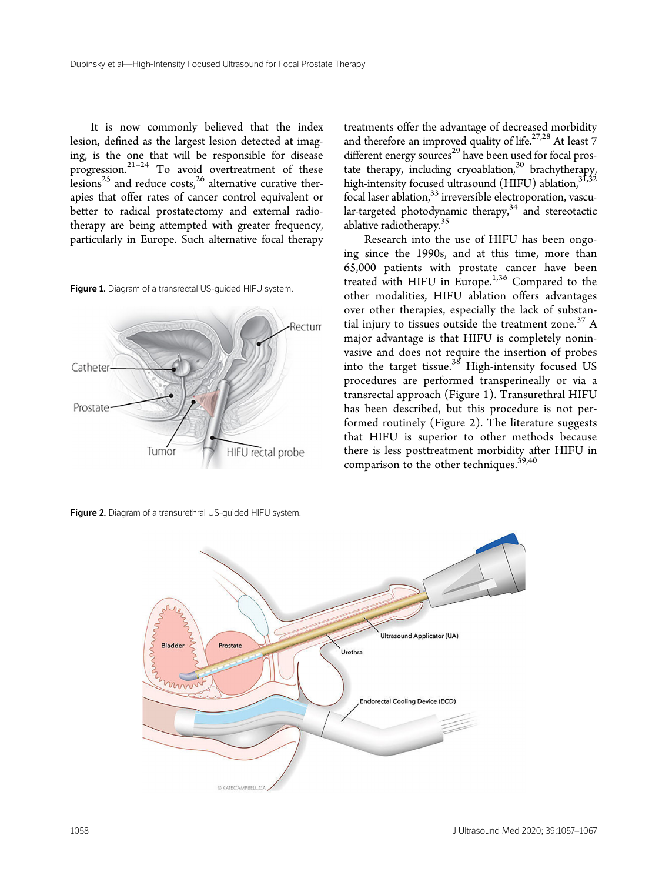It is now commonly believed that the index lesion, defined as the largest lesion detected at imaging, is the one that will be responsible for disease progression.<sup>21-24</sup> To avoid overtreatment of these lesions<sup>25</sup> and reduce costs,<sup>26</sup> alternative curative therapies that offer rates of cancer control equivalent or better to radical prostatectomy and external radiotherapy are being attempted with greater frequency, particularly in Europe. Such alternative focal therapy

Figure 1. Diagram of a transrectal US-guided HIFU system.



Figure 2. Diagram of a transurethral US-guided HIFU system.

treatments offer the advantage of decreased morbidity and therefore an improved quality of life.<sup>27,28</sup> At least 7 different energy sources<sup>29</sup> have been used for focal prostate therapy, including cryoablation,<sup>30</sup> brachytherapy, high-intensity focused ultrasound (HIFU) ablation, 31,32 focal laser ablation,<sup>33</sup> irreversible electroporation, vascular-targeted photodynamic therapy, $34$  and stereotactic ablative radiotherapy.35

Research into the use of HIFU has been ongoing since the 1990s, and at this time, more than 65,000 patients with prostate cancer have been treated with HIFU in Europe.<sup>1,36</sup> Compared to the other modalities, HIFU ablation offers advantages over other therapies, especially the lack of substantial injury to tissues outside the treatment zone.<sup>37</sup> A major advantage is that HIFU is completely noninvasive and does not require the insertion of probes into the target tissue. $38$  High-intensity focused US procedures are performed transperineally or via a transrectal approach (Figure 1). Transurethral HIFU has been described, but this procedure is not performed routinely (Figure 2). The literature suggests that HIFU is superior to other methods because there is less posttreatment morbidity after HIFU in comparison to the other techniques.<sup>39,40</sup>

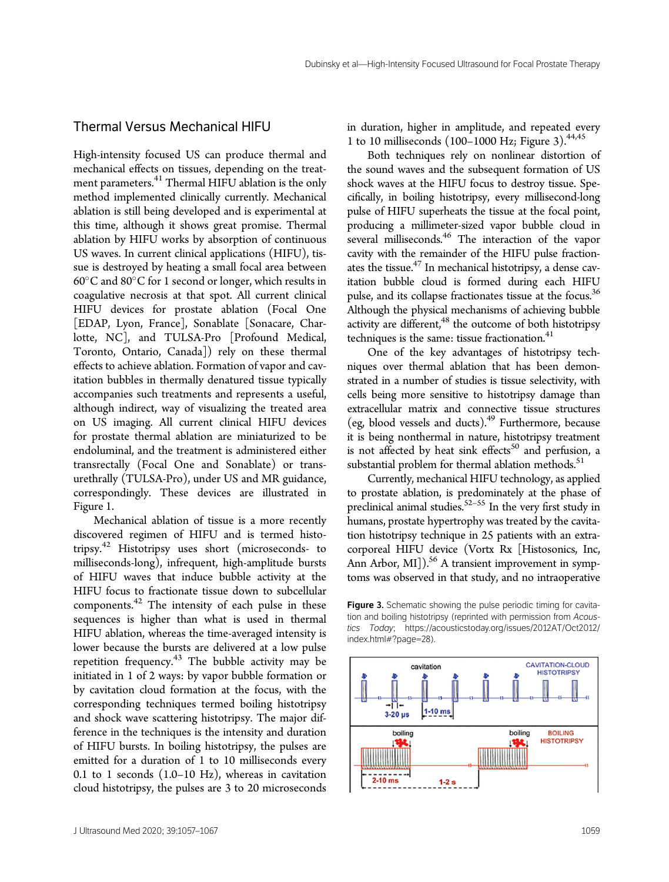### Thermal Versus Mechanical HIFU

High-intensity focused US can produce thermal and mechanical effects on tissues, depending on the treatment parameters.<sup>41</sup> Thermal HIFU ablation is the only method implemented clinically currently. Mechanical ablation is still being developed and is experimental at this time, although it shows great promise. Thermal ablation by HIFU works by absorption of continuous US waves. In current clinical applications (HIFU), tissue is destroyed by heating a small focal area between  $60^{\circ}$ C and  $80^{\circ}$ C for 1 second or longer, which results in coagulative necrosis at that spot. All current clinical HIFU devices for prostate ablation (Focal One [EDAP, Lyon, France], Sonablate [Sonacare, Charlotte, NC], and TULSA-Pro [Profound Medical, Toronto, Ontario, Canada]) rely on these thermal effects to achieve ablation. Formation of vapor and cavitation bubbles in thermally denatured tissue typically accompanies such treatments and represents a useful, although indirect, way of visualizing the treated area on US imaging. All current clinical HIFU devices for prostate thermal ablation are miniaturized to be endoluminal, and the treatment is administered either transrectally (Focal One and Sonablate) or transurethrally (TULSA-Pro), under US and MR guidance, correspondingly. These devices are illustrated in Figure 1.

Mechanical ablation of tissue is a more recently discovered regimen of HIFU and is termed histotripsy.<sup>42</sup> Histotripsy uses short (microseconds- to milliseconds-long), infrequent, high-amplitude bursts of HIFU waves that induce bubble activity at the HIFU focus to fractionate tissue down to subcellular components.<sup>42</sup> The intensity of each pulse in these sequences is higher than what is used in thermal HIFU ablation, whereas the time-averaged intensity is lower because the bursts are delivered at a low pulse repetition frequency. $43$  The bubble activity may be initiated in 1 of 2 ways: by vapor bubble formation or by cavitation cloud formation at the focus, with the corresponding techniques termed boiling histotripsy and shock wave scattering histotripsy. The major difference in the techniques is the intensity and duration of HIFU bursts. In boiling histotripsy, the pulses are emitted for a duration of 1 to 10 milliseconds every 0.1 to 1 seconds (1.0–10 Hz), whereas in cavitation cloud histotripsy, the pulses are 3 to 20 microseconds

in duration, higher in amplitude, and repeated every 1 to 10 milliseconds (100–1000 Hz; Figure 3).44,45

Both techniques rely on nonlinear distortion of the sound waves and the subsequent formation of US shock waves at the HIFU focus to destroy tissue. Specifically, in boiling histotripsy, every millisecond-long pulse of HIFU superheats the tissue at the focal point, producing a millimeter-sized vapor bubble cloud in several milliseconds.<sup>46</sup> The interaction of the vapor cavity with the remainder of the HIFU pulse fractionates the tissue.<sup>47</sup> In mechanical histotripsy, a dense cavitation bubble cloud is formed during each HIFU pulse, and its collapse fractionates tissue at the focus.<sup>36</sup> Although the physical mechanisms of achieving bubble activity are different,<sup>48</sup> the outcome of both histotripsy techniques is the same: tissue fractionation. $41$ 

One of the key advantages of histotripsy techniques over thermal ablation that has been demonstrated in a number of studies is tissue selectivity, with cells being more sensitive to histotripsy damage than extracellular matrix and connective tissue structures (eg, blood vessels and ducts).49 Furthermore, because it is being nonthermal in nature, histotripsy treatment is not affected by heat sink effects<sup>50</sup> and perfusion, a substantial problem for thermal ablation methods.<sup>51</sup>

Currently, mechanical HIFU technology, as applied to prostate ablation, is predominately at the phase of preclinical animal studies. $52-55$  In the very first study in humans, prostate hypertrophy was treated by the cavitation histotripsy technique in 25 patients with an extracorporeal HIFU device (Vortx Rx [Histosonics, Inc, Ann Arbor, MI]).<sup>56</sup> A transient improvement in symptoms was observed in that study, and no intraoperative

Figure 3. Schematic showing the pulse periodic timing for cavitation and boiling histotripsy (reprinted with permission from Acoustics Today; [https://acousticstoday.org/issues/2012AT/Oct2012/](https://acousticstoday.org/issues/2012AT/Oct2012/index.html#?page=28) [index.html#?page=28](https://acousticstoday.org/issues/2012AT/Oct2012/index.html#?page=28)).

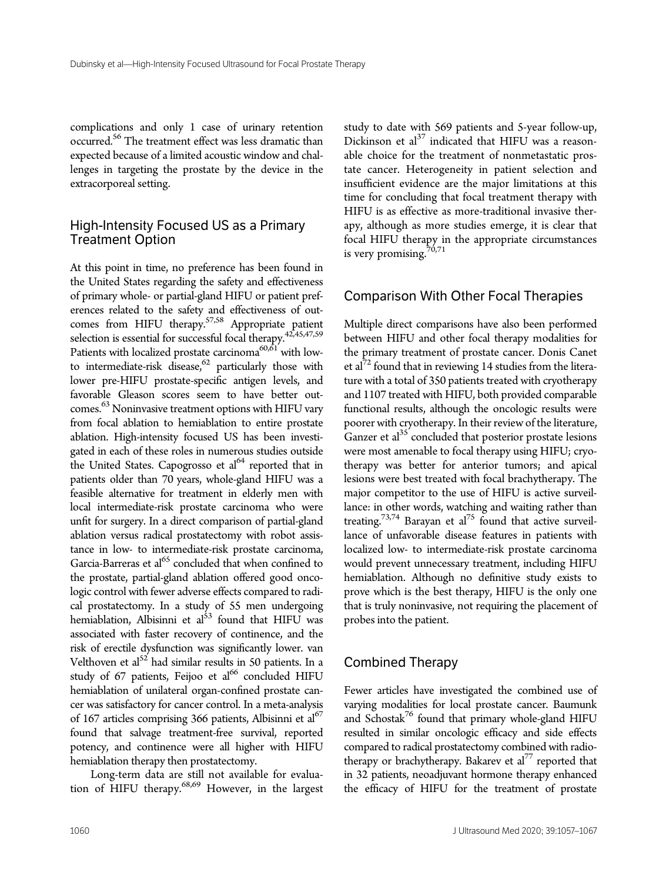complications and only 1 case of urinary retention occurred.<sup>56</sup> The treatment effect was less dramatic than expected because of a limited acoustic window and challenges in targeting the prostate by the device in the extracorporeal setting.

#### High-Intensity Focused US as a Primary Treatment Option

At this point in time, no preference has been found in the United States regarding the safety and effectiveness of primary whole- or partial-gland HIFU or patient preferences related to the safety and effectiveness of outcomes from HIFU therapy.<sup>57,58</sup> Appropriate patient selection is essential for successful focal therapy.<sup>42,45,47,59</sup> Patients with localized prostate carcinoma<sup>60,61</sup> with lowto intermediate-risk disease, $62$  particularly those with lower pre-HIFU prostate-specific antigen levels, and favorable Gleason scores seem to have better outcomes. <sup>63</sup> Noninvasive treatment options with HIFU vary from focal ablation to hemiablation to entire prostate ablation. High-intensity focused US has been investigated in each of these roles in numerous studies outside the United States. Capogrosso et  $al<sup>64</sup>$  reported that in patients older than 70 years, whole-gland HIFU was a feasible alternative for treatment in elderly men with local intermediate-risk prostate carcinoma who were unfit for surgery. In a direct comparison of partial-gland ablation versus radical prostatectomy with robot assistance in low- to intermediate-risk prostate carcinoma, Garcia-Barreras et al<sup>65</sup> concluded that when confined to the prostate, partial-gland ablation offered good oncologic control with fewer adverse effects compared to radical prostatectomy. In a study of 55 men undergoing hemiablation, Albisinni et al<sup>53</sup> found that HIFU was associated with faster recovery of continence, and the risk of erectile dysfunction was significantly lower. van Velthoven et  $a^{52}$  had similar results in 50 patients. In a study of 67 patients, Feijoo et al<sup>66</sup> concluded HIFU hemiablation of unilateral organ-confined prostate cancer was satisfactory for cancer control. In a meta-analysis of 167 articles comprising 366 patients, Albisinni et  $al^{67}$ found that salvage treatment-free survival, reported potency, and continence were all higher with HIFU hemiablation therapy then prostatectomy.

Long-term data are still not available for evaluation of HIFU therapy.68,69 However, in the largest study to date with 569 patients and 5-year follow-up, Dickinson et al $^{37}$  indicated that HIFU was a reasonable choice for the treatment of nonmetastatic prostate cancer. Heterogeneity in patient selection and insufficient evidence are the major limitations at this time for concluding that focal treatment therapy with HIFU is as effective as more-traditional invasive therapy, although as more studies emerge, it is clear that focal HIFU therapy in the appropriate circumstances is very promising. $70,71$ 

## Comparison With Other Focal Therapies

Multiple direct comparisons have also been performed between HIFU and other focal therapy modalities for the primary treatment of prostate cancer. Donis Canet et al<sup>72</sup> found that in reviewing 14 studies from the literature with a total of 350 patients treated with cryotherapy and 1107 treated with HIFU, both provided comparable functional results, although the oncologic results were poorer with cryotherapy. In their review of the literature, Ganzer et  $al<sup>35</sup>$  concluded that posterior prostate lesions were most amenable to focal therapy using HIFU; cryotherapy was better for anterior tumors; and apical lesions were best treated with focal brachytherapy. The major competitor to the use of HIFU is active surveillance: in other words, watching and waiting rather than treating.<sup>73,74</sup> Barayan et al<sup>75</sup> found that active surveillance of unfavorable disease features in patients with localized low- to intermediate-risk prostate carcinoma would prevent unnecessary treatment, including HIFU hemiablation. Although no definitive study exists to prove which is the best therapy, HIFU is the only one that is truly noninvasive, not requiring the placement of probes into the patient.

#### Combined Therapy

Fewer articles have investigated the combined use of varying modalities for local prostate cancer. Baumunk and Schostak<sup>76</sup> found that primary whole-gland HIFU resulted in similar oncologic efficacy and side effects compared to radical prostatectomy combined with radiotherapy or brachytherapy. Bakarev et  $al^{77}$  reported that in 32 patients, neoadjuvant hormone therapy enhanced the efficacy of HIFU for the treatment of prostate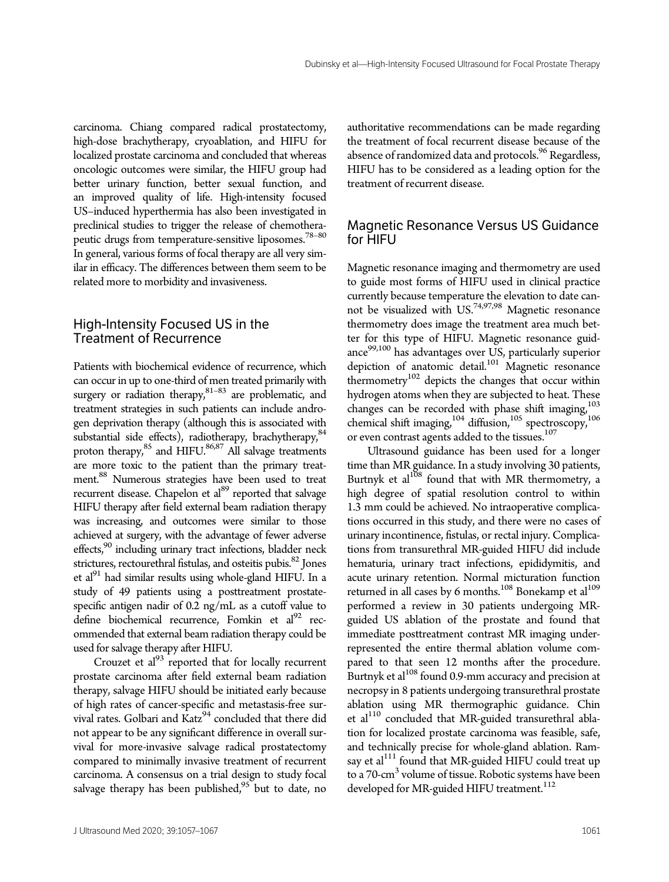carcinoma. Chiang compared radical prostatectomy, high-dose brachytherapy, cryoablation, and HIFU for localized prostate carcinoma and concluded that whereas oncologic outcomes were similar, the HIFU group had better urinary function, better sexual function, and an improved quality of life. High-intensity focused US–induced hyperthermia has also been investigated in preclinical studies to trigger the release of chemotherapeutic drugs from temperature-sensitive liposomes.<sup>78-80</sup> In general, various forms of focal therapy are all very similar in efficacy. The differences between them seem to be related more to morbidity and invasiveness.

# High-Intensity Focused US in the Treatment of Recurrence

Patients with biochemical evidence of recurrence, which can occur in up to one-third of men treated primarily with surgery or radiation therapy, $81-83$  are problematic, and treatment strategies in such patients can include androgen deprivation therapy (although this is associated with substantial side effects), radiotherapy, brachytherapy, $84$ proton therapy,<sup>85</sup> and HIFU.<sup>86,87</sup> All salvage treatments are more toxic to the patient than the primary treatment.88 Numerous strategies have been used to treat recurrent disease. Chapelon et al<sup>89</sup> reported that salvage HIFU therapy after field external beam radiation therapy was increasing, and outcomes were similar to those achieved at surgery, with the advantage of fewer adverse effects,<sup>90</sup> including urinary tract infections, bladder neck strictures, rectourethral fistulas, and osteitis pubis.<sup>82</sup> Jones et al<sup>91</sup> had similar results using whole-gland HIFU. In a study of 49 patients using a posttreatment prostatespecific antigen nadir of 0.2 ng/mL as a cutoff value to define biochemical recurrence, Fomkin et al<sup>92</sup> recommended that external beam radiation therapy could be used for salvage therapy after HIFU.

Crouzet et al $^{93}$  reported that for locally recurrent prostate carcinoma after field external beam radiation therapy, salvage HIFU should be initiated early because of high rates of cancer-specific and metastasis-free survival rates. Golbari and Katz<sup>94</sup> concluded that there did not appear to be any significant difference in overall survival for more-invasive salvage radical prostatectomy compared to minimally invasive treatment of recurrent carcinoma. A consensus on a trial design to study focal salvage therapy has been published, $95$  but to date, no

authoritative recommendations can be made regarding the treatment of focal recurrent disease because of the absence of randomized data and protocols.<sup>96</sup> Regardless, HIFU has to be considered as a leading option for the treatment of recurrent disease.

# Magnetic Resonance Versus US Guidance for HIFU

Magnetic resonance imaging and thermometry are used to guide most forms of HIFU used in clinical practice currently because temperature the elevation to date cannot be visualized with US.74,97,98 Magnetic resonance thermometry does image the treatment area much better for this type of HIFU. Magnetic resonance guidance<sup>99,100</sup> has advantages over US, particularly superior depiction of anatomic detail.<sup>101</sup> Magnetic resonance thermometry<sup>102</sup> depicts the changes that occur within hydrogen atoms when they are subjected to heat. These changes can be recorded with phase shift imaging,<sup>103</sup> chemical shift imaging,<sup>104</sup> diffusion,<sup>105</sup> spectroscopy,<sup>106</sup> or even contrast agents added to the tissues.<sup>107</sup>

Ultrasound guidance has been used for a longer time than MR guidance. In a study involving 30 patients, Burtnyk et  $al^{108}$  found that with MR thermometry, a high degree of spatial resolution control to within 1.3 mm could be achieved. No intraoperative complications occurred in this study, and there were no cases of urinary incontinence, fistulas, or rectal injury. Complications from transurethral MR-guided HIFU did include hematuria, urinary tract infections, epididymitis, and acute urinary retention. Normal micturation function returned in all cases by 6 months.<sup>108</sup> Bonekamp et  $al^{109}$ performed a review in 30 patients undergoing MRguided US ablation of the prostate and found that immediate posttreatment contrast MR imaging underrepresented the entire thermal ablation volume compared to that seen 12 months after the procedure. Burtnyk et al<sup>108</sup> found 0.9-mm accuracy and precision at necropsy in 8 patients undergoing transurethral prostate ablation using MR thermographic guidance. Chin et al $^{110}$  concluded that MR-guided transurethral ablation for localized prostate carcinoma was feasible, safe, and technically precise for whole-gland ablation. Ramsay et al<sup>111</sup> found that MR-guided HIFU could treat up to a 70-cm<sup>3</sup> volume of tissue. Robotic systems have been developed for MR-guided HIFU treatment.<sup>112</sup>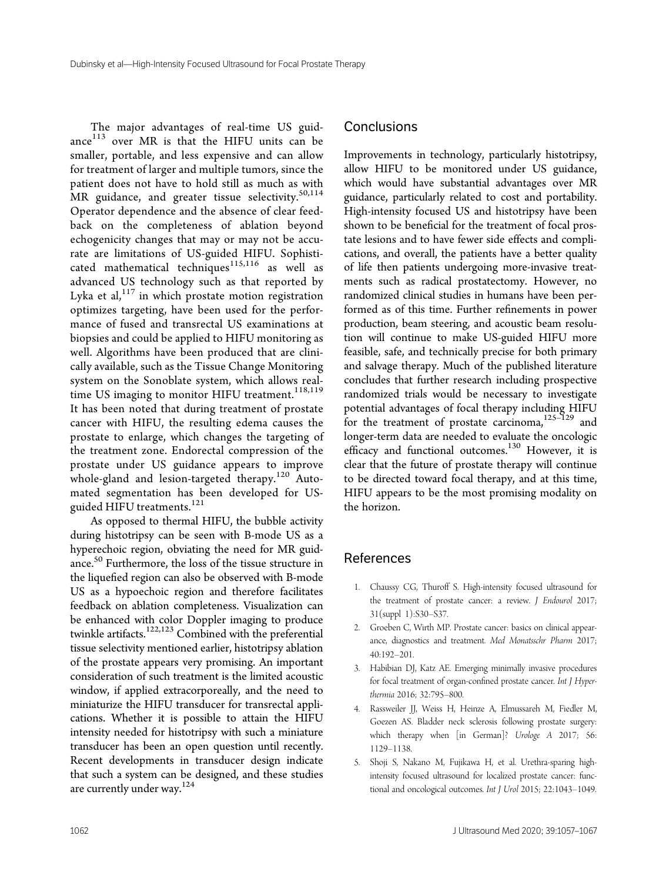The major advantages of real-time US guidance<sup>113</sup> over MR is that the HIFU units can be smaller, portable, and less expensive and can allow for treatment of larger and multiple tumors, since the patient does not have to hold still as much as with MR guidance, and greater tissue selectivity.<sup>50,114</sup> Operator dependence and the absence of clear feedback on the completeness of ablation beyond echogenicity changes that may or may not be accurate are limitations of US-guided HIFU. Sophisticated mathematical techniques $^{115,116}$  as well as advanced US technology such as that reported by Lyka et al, $117$  in which prostate motion registration optimizes targeting, have been used for the performance of fused and transrectal US examinations at biopsies and could be applied to HIFU monitoring as well. Algorithms have been produced that are clinically available, such as the Tissue Change Monitoring system on the Sonoblate system, which allows realtime US imaging to monitor HIFU treatment.<sup>118,119</sup> It has been noted that during treatment of prostate cancer with HIFU, the resulting edema causes the prostate to enlarge, which changes the targeting of the treatment zone. Endorectal compression of the prostate under US guidance appears to improve whole-gland and lesion-targeted therapy.<sup>120</sup> Automated segmentation has been developed for USguided HIFU treatments.<sup>121</sup>

As opposed to thermal HIFU, the bubble activity during histotripsy can be seen with B-mode US as a hyperechoic region, obviating the need for MR guidance.<sup>50</sup> Furthermore, the loss of the tissue structure in the liquefied region can also be observed with B-mode US as a hypoechoic region and therefore facilitates feedback on ablation completeness. Visualization can be enhanced with color Doppler imaging to produce twinkle artifacts.<sup>122,123</sup> Combined with the preferential tissue selectivity mentioned earlier, histotripsy ablation of the prostate appears very promising. An important consideration of such treatment is the limited acoustic window, if applied extracorporeally, and the need to miniaturize the HIFU transducer for transrectal applications. Whether it is possible to attain the HIFU intensity needed for histotripsy with such a miniature transducer has been an open question until recently. Recent developments in transducer design indicate that such a system can be designed, and these studies are currently under way.<sup>124</sup>

#### **Conclusions**

Improvements in technology, particularly histotripsy, allow HIFU to be monitored under US guidance, which would have substantial advantages over MR guidance, particularly related to cost and portability. High-intensity focused US and histotripsy have been shown to be beneficial for the treatment of focal prostate lesions and to have fewer side effects and complications, and overall, the patients have a better quality of life then patients undergoing more-invasive treatments such as radical prostatectomy. However, no randomized clinical studies in humans have been performed as of this time. Further refinements in power production, beam steering, and acoustic beam resolution will continue to make US-guided HIFU more feasible, safe, and technically precise for both primary and salvage therapy. Much of the published literature concludes that further research including prospective randomized trials would be necessary to investigate potential advantages of focal therapy including HIFU for the treatment of prostate carcinoma, $125-129$  and longer-term data are needed to evaluate the oncologic efficacy and functional outcomes.<sup>130</sup> However, it is clear that the future of prostate therapy will continue to be directed toward focal therapy, and at this time, HIFU appears to be the most promising modality on the horizon.

#### References

- 1. Chaussy CG, Thuroff S. High-intensity focused ultrasound for the treatment of prostate cancer: a review. J Endourol 2017; 31(suppl 1):S30–S37.
- 2. Groeben C, Wirth MP. Prostate cancer: basics on clinical appearance, diagnostics and treatment. Med Monatsschr Pharm 2017; 40:192–201.
- 3. Habibian DJ, Katz AE. Emerging minimally invasive procedures for focal treatment of organ-confined prostate cancer. Int J Hyperthermia 2016; 32:795–800.
- 4. Rassweiler JJ, Weiss H, Heinze A, Elmussareh M, Fiedler M, Goezen AS. Bladder neck sclerosis following prostate surgery: which therapy when [in German]? Urologe A 2017; 56: 1129–1138.
- 5. Shoji S, Nakano M, Fujikawa H, et al. Urethra-sparing highintensity focused ultrasound for localized prostate cancer: functional and oncological outcomes. Int J Urol 2015; 22:1043–1049.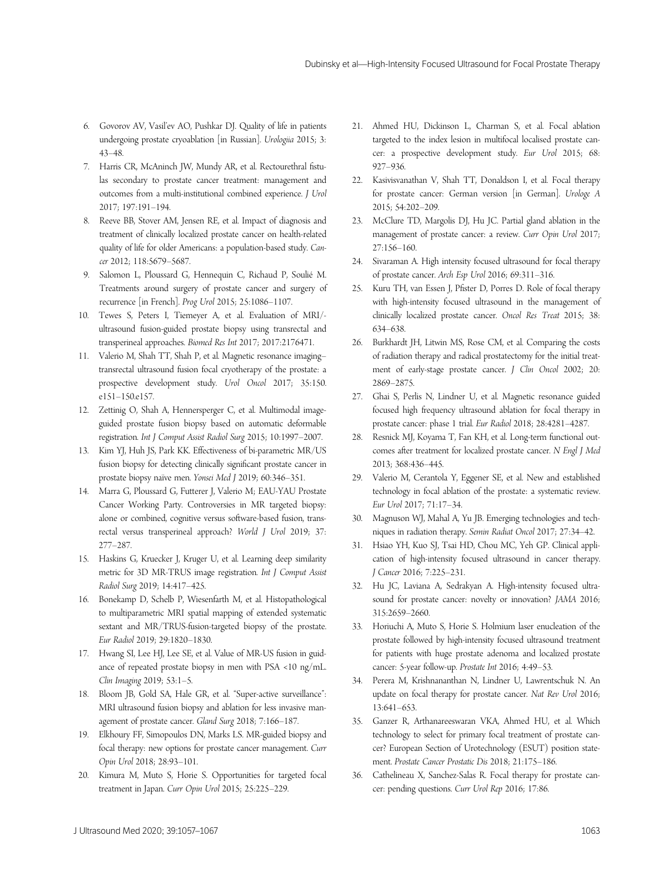- 6. Govorov AV, Vasil'ev AO, Pushkar DJ. Quality of life in patients undergoing prostate cryoablation [in Russian]. Urologiia 2015; 3: 43–48.
- 7. Harris CR, McAninch JW, Mundy AR, et al. Rectourethral fistulas secondary to prostate cancer treatment: management and outcomes from a multi-institutional combined experience. J Urol 2017; 197:191–194.
- 8. Reeve BB, Stover AM, Jensen RE, et al. Impact of diagnosis and treatment of clinically localized prostate cancer on health-related quality of life for older Americans: a population-based study. Cancer 2012; 118:5679–5687.
- 9. Salomon L, Ploussard G, Hennequin C, Richaud P, Soulié M. Treatments around surgery of prostate cancer and surgery of recurrence [in French]. Prog Urol 2015; 25:1086–1107.
- 10. Tewes S, Peters I, Tiemeyer A, et al. Evaluation of MRI/ ultrasound fusion-guided prostate biopsy using transrectal and transperineal approaches. Biomed Res Int 2017; 2017:2176471.
- 11. Valerio M, Shah TT, Shah P, et al. Magnetic resonance imaging– transrectal ultrasound fusion focal cryotherapy of the prostate: a prospective development study. Urol Oncol 2017; 35:150. e151–150.e157.
- 12. Zettinig O, Shah A, Hennersperger C, et al. Multimodal imageguided prostate fusion biopsy based on automatic deformable registration. Int J Comput Assist Radiol Surg 2015; 10:1997–2007.
- 13. Kim YJ, Huh JS, Park KK. Effectiveness of bi-parametric MR/US fusion biopsy for detecting clinically significant prostate cancer in prostate biopsy naïve men. Yonsei Med J 2019; 60:346–351.
- 14. Marra G, Ploussard G, Futterer J, Valerio M; EAU-YAU Prostate Cancer Working Party. Controversies in MR targeted biopsy: alone or combined, cognitive versus software-based fusion, transrectal versus transperineal approach? World J Urol 2019; 37: 277–287.
- 15. Haskins G, Kruecker J, Kruger U, et al. Learning deep similarity metric for 3D MR-TRUS image registration. Int J Comput Assist Radiol Surg 2019; 14:417–425.
- 16. Bonekamp D, Schelb P, Wiesenfarth M, et al. Histopathological to multiparametric MRI spatial mapping of extended systematic sextant and MR/TRUS-fusion-targeted biopsy of the prostate. Eur Radiol 2019; 29:1820–1830.
- 17. Hwang SI, Lee HJ, Lee SE, et al. Value of MR-US fusion in guidance of repeated prostate biopsy in men with PSA <10 ng/mL. Clin Imaging 2019; 53:1–5.
- 18. Bloom JB, Gold SA, Hale GR, et al. "Super-active surveillance": MRI ultrasound fusion biopsy and ablation for less invasive management of prostate cancer. Gland Surg 2018; 7:166–187.
- 19. Elkhoury FF, Simopoulos DN, Marks LS. MR-guided biopsy and focal therapy: new options for prostate cancer management. Curr Opin Urol 2018; 28:93–101.
- 20. Kimura M, Muto S, Horie S. Opportunities for targeted focal treatment in Japan. Curr Opin Urol 2015; 25:225–229.
- 21. Ahmed HU, Dickinson L, Charman S, et al. Focal ablation targeted to the index lesion in multifocal localised prostate cancer: a prospective development study. Eur Urol 2015; 68: 927–936.
- 22. Kasivisvanathan V, Shah TT, Donaldson I, et al. Focal therapy for prostate cancer: German version [in German]. Urologe A 2015; 54:202–209.
- 23. McClure TD, Margolis DJ, Hu JC. Partial gland ablation in the management of prostate cancer: a review. Curr Opin Urol 2017; 27:156–160.
- 24. Sivaraman A. High intensity focused ultrasound for focal therapy of prostate cancer. Arch Esp Urol 2016; 69:311–316.
- 25. Kuru TH, van Essen J, Pfister D, Porres D. Role of focal therapy with high-intensity focused ultrasound in the management of clinically localized prostate cancer. Oncol Res Treat 2015; 38: 634–638.
- 26. Burkhardt JH, Litwin MS, Rose CM, et al. Comparing the costs of radiation therapy and radical prostatectomy for the initial treatment of early-stage prostate cancer. J Clin Oncol 2002; 20: 2869–2875.
- 27. Ghai S, Perlis N, Lindner U, et al. Magnetic resonance guided focused high frequency ultrasound ablation for focal therapy in prostate cancer: phase 1 trial. Eur Radiol 2018; 28:4281–4287.
- 28. Resnick MJ, Koyama T, Fan KH, et al. Long-term functional outcomes after treatment for localized prostate cancer. N Engl J Med 2013; 368:436–445.
- 29. Valerio M, Cerantola Y, Eggener SE, et al. New and established technology in focal ablation of the prostate: a systematic review. Eur Urol 2017; 71:17–34.
- 30. Magnuson WJ, Mahal A, Yu JB. Emerging technologies and techniques in radiation therapy. Semin Radiat Oncol 2017; 27:34–42.
- 31. Hsiao YH, Kuo SJ, Tsai HD, Chou MC, Yeh GP. Clinical application of high-intensity focused ultrasound in cancer therapy. J Cancer 2016; 7:225–231.
- 32. Hu JC, Laviana A, Sedrakyan A. High-intensity focused ultrasound for prostate cancer: novelty or innovation? JAMA 2016; 315:2659–2660.
- 33. Horiuchi A, Muto S, Horie S. Holmium laser enucleation of the prostate followed by high-intensity focused ultrasound treatment for patients with huge prostate adenoma and localized prostate cancer: 5-year follow-up. Prostate Int 2016; 4:49–53.
- 34. Perera M, Krishnananthan N, Lindner U, Lawrentschuk N. An update on focal therapy for prostate cancer. Nat Rev Urol 2016; 13:641–653.
- 35. Ganzer R, Arthanareeswaran VKA, Ahmed HU, et al. Which technology to select for primary focal treatment of prostate cancer? European Section of Urotechnology (ESUT) position statement. Prostate Cancer Prostatic Dis 2018; 21:175–186.
- 36. Cathelineau X, Sanchez-Salas R. Focal therapy for prostate cancer: pending questions. Curr Urol Rep 2016; 17:86.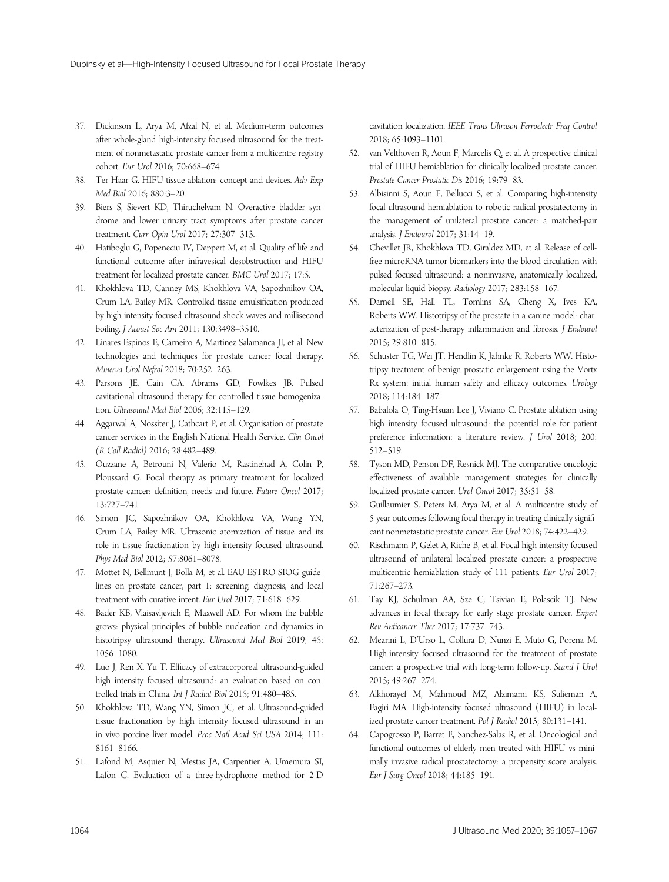- 37. Dickinson L, Arya M, Afzal N, et al. Medium-term outcomes after whole-gland high-intensity focused ultrasound for the treatment of nonmetastatic prostate cancer from a multicentre registry cohort. Eur Urol 2016; 70:668–674.
- 38. Ter Haar G. HIFU tissue ablation: concept and devices. Adv Exp Med Biol 2016; 880:3–20.
- 39. Biers S, Sievert KD, Thiruchelvam N. Overactive bladder syndrome and lower urinary tract symptoms after prostate cancer treatment. Curr Opin Urol 2017; 27:307–313.
- 40. Hatiboglu G, Popeneciu IV, Deppert M, et al. Quality of life and functional outcome after infravesical desobstruction and HIFU treatment for localized prostate cancer. BMC Urol 2017; 17:5.
- 41. Khokhlova TD, Canney MS, Khokhlova VA, Sapozhnikov OA, Crum LA, Bailey MR. Controlled tissue emulsification produced by high intensity focused ultrasound shock waves and millisecond boiling. J Acoust Soc Am 2011; 130:3498–3510.
- 42. Linares-Espinos E, Carneiro A, Martinez-Salamanca JI, et al. New technologies and techniques for prostate cancer focal therapy. Minerva Urol Nefrol 2018; 70:252–263.
- 43. Parsons JE, Cain CA, Abrams GD, Fowlkes JB. Pulsed cavitational ultrasound therapy for controlled tissue homogenization. Ultrasound Med Biol 2006; 32:115–129.
- 44. Aggarwal A, Nossiter J, Cathcart P, et al. Organisation of prostate cancer services in the English National Health Service. Clin Oncol (R Coll Radiol) 2016; 28:482–489.
- 45. Ouzzane A, Betrouni N, Valerio M, Rastinehad A, Colin P, Ploussard G. Focal therapy as primary treatment for localized prostate cancer: definition, needs and future. Future Oncol 2017; 13:727–741.
- 46. Simon JC, Sapozhnikov OA, Khokhlova VA, Wang YN, Crum LA, Bailey MR. Ultrasonic atomization of tissue and its role in tissue fractionation by high intensity focused ultrasound. Phys Med Biol 2012; 57:8061–8078.
- 47. Mottet N, Bellmunt J, Bolla M, et al. EAU-ESTRO-SIOG guidelines on prostate cancer, part 1: screening, diagnosis, and local treatment with curative intent. Eur Urol 2017; 71:618–629.
- 48. Bader KB, Vlaisavljevich E, Maxwell AD. For whom the bubble grows: physical principles of bubble nucleation and dynamics in histotripsy ultrasound therapy. Ultrasound Med Biol 2019; 45: 1056–1080.
- 49. Luo J, Ren X, Yu T. Efficacy of extracorporeal ultrasound-guided high intensity focused ultrasound: an evaluation based on controlled trials in China. Int J Radiat Biol 2015; 91:480–485.
- 50. Khokhlova TD, Wang YN, Simon JC, et al. Ultrasound-guided tissue fractionation by high intensity focused ultrasound in an in vivo porcine liver model. Proc Natl Acad Sci USA 2014; 111: 8161–8166.
- 51. Lafond M, Asquier N, Mestas JA, Carpentier A, Umemura SI, Lafon C. Evaluation of a three-hydrophone method for 2-D

cavitation localization. IEEE Trans Ultrason Ferroelectr Freq Control 2018; 65:1093–1101.

- 52. van Velthoven R, Aoun F, Marcelis Q, et al. A prospective clinical trial of HIFU hemiablation for clinically localized prostate cancer. Prostate Cancer Prostatic Dis 2016; 19:79–83.
- 53. Albisinni S, Aoun F, Bellucci S, et al. Comparing high-intensity focal ultrasound hemiablation to robotic radical prostatectomy in the management of unilateral prostate cancer: a matched-pair analysis. J Endourol 2017; 31:14–19.
- 54. Chevillet JR, Khokhlova TD, Giraldez MD, et al. Release of cellfree microRNA tumor biomarkers into the blood circulation with pulsed focused ultrasound: a noninvasive, anatomically localized, molecular liquid biopsy. Radiology 2017; 283:158–167.
- 55. Darnell SE, Hall TL, Tomlins SA, Cheng X, Ives KA, Roberts WW. Histotripsy of the prostate in a canine model: characterization of post-therapy inflammation and fibrosis. J Endourol 2015; 29:810–815.
- 56. Schuster TG, Wei JT, Hendlin K, Jahnke R, Roberts WW. Histotripsy treatment of benign prostatic enlargement using the Vortx Rx system: initial human safety and efficacy outcomes. Urology 2018; 114:184–187.
- 57. Babalola O, Ting-Hsuan Lee J, Viviano C. Prostate ablation using high intensity focused ultrasound: the potential role for patient preference information: a literature review. J Urol 2018; 200: 512–519.
- 58. Tyson MD, Penson DF, Resnick MJ. The comparative oncologic effectiveness of available management strategies for clinically localized prostate cancer. Urol Oncol 2017; 35:51–58.
- 59. Guillaumier S, Peters M, Arya M, et al. A multicentre study of 5-year outcomes following focal therapy in treating clinically significant nonmetastatic prostate cancer. Eur Urol 2018; 74:422–429.
- 60. Rischmann P, Gelet A, Riche B, et al. Focal high intensity focused ultrasound of unilateral localized prostate cancer: a prospective multicentric hemiablation study of 111 patients. Eur Urol 2017; 71:267–273.
- 61. Tay KJ, Schulman AA, Sze C, Tsivian E, Polascik TJ. New advances in focal therapy for early stage prostate cancer. Expert Rev Anticancer Ther 2017; 17:737–743.
- 62. Mearini L, D'Urso L, Collura D, Nunzi E, Muto G, Porena M. High-intensity focused ultrasound for the treatment of prostate cancer: a prospective trial with long-term follow-up. Scand J Urol 2015; 49:267–274.
- 63. Alkhorayef M, Mahmoud MZ, Alzimami KS, Sulieman A, Fagiri MA. High-intensity focused ultrasound (HIFU) in localized prostate cancer treatment. Pol J Radiol 2015; 80:131–141.
- 64. Capogrosso P, Barret E, Sanchez-Salas R, et al. Oncological and functional outcomes of elderly men treated with HIFU vs minimally invasive radical prostatectomy: a propensity score analysis. Eur J Surg Oncol 2018; 44:185–191.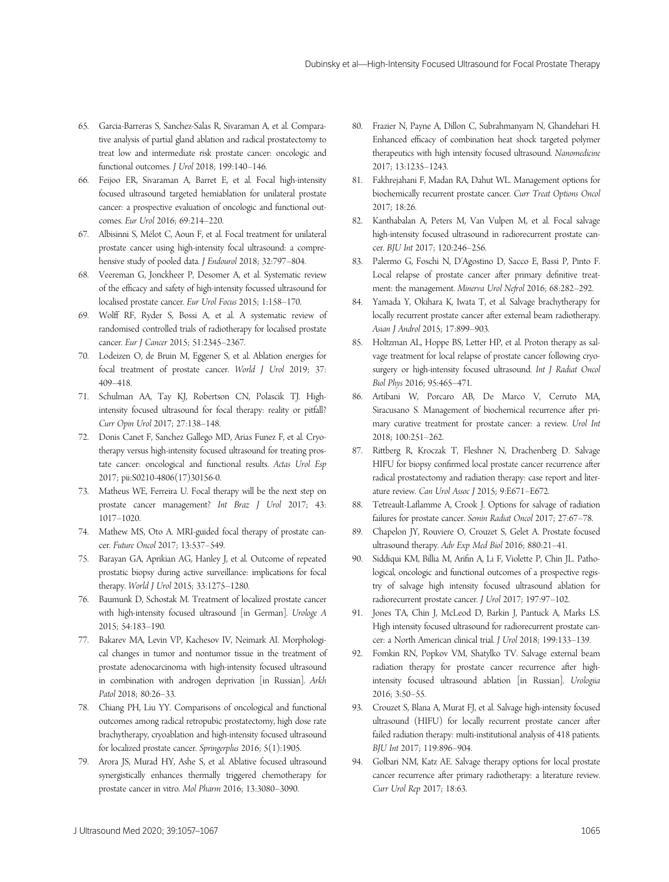- 65. Garcia-Barreras S, Sanchez-Salas R, Sivaraman A, et al. Comparative analysis of partial gland ablation and radical prostatectomy to treat low and intermediate risk prostate cancer: oncologic and functional outcomes. J Urol 2018; 199:140–146.
- 66. Feijoo ER, Sivaraman A, Barret E, et al. Focal high-intensity focused ultrasound targeted hemiablation for unilateral prostate cancer: a prospective evaluation of oncologic and functional outcomes. Eur Urol 2016; 69:214–220.
- 67. Albisinni S, Mélot C, Aoun F, et al. Focal treatment for unilateral prostate cancer using high-intensity focal ultrasound: a comprehensive study of pooled data. *J Endourol* 2018; 32:797-804.
- 68. Veereman G, Jonckheer P, Desomer A, et al. Systematic review of the efficacy and safety of high-intensity focussed ultrasound for localised prostate cancer. Eur Urol Focus 2015; 1:158–170.
- 69. Wolff RF, Ryder S, Bossi A, et al. A systematic review of randomised controlled trials of radiotherapy for localised prostate cancer. Eur J Cancer 2015; 51:2345–2367.
- 70. Lodeizen O, de Bruin M, Eggener S, et al. Ablation energies for focal treatment of prostate cancer. World J Urol 2019; 37: 409–418.
- 71. Schulman AA, Tay KJ, Robertson CN, Polascik TJ. Highintensity focused ultrasound for focal therapy: reality or pitfall? Curr Opin Urol 2017; 27:138–148.
- 72. Donis Canet F, Sanchez Gallego MD, Arias Funez F, et al. Cryotherapy versus high-intensity focused ultrasound for treating prostate cancer: oncological and functional results. Actas Urol Esp 2017; pii:S0210-4806(17)30156-0.
- 73. Matheus WE, Ferreira U. Focal therapy will be the next step on prostate cancer management? Int Braz J Urol 2017; 43: 1017–1020.
- 74. Mathew MS, Oto A. MRI-guided focal therapy of prostate cancer. Future Oncol 2017; 13:537–549.
- 75. Barayan GA, Aprikian AG, Hanley J, et al. Outcome of repeated prostatic biopsy during active surveillance: implications for focal therapy. World J Urol 2015; 33:1275–1280.
- 76. Baumunk D, Schostak M. Treatment of localized prostate cancer with high-intensity focused ultrasound [in German]. Urologe A 2015; 54:183–190.
- 77. Bakarev MA, Levin VP, Kachesov IV, Neimark AI. Morphological changes in tumor and nontumor tissue in the treatment of prostate adenocarcinoma with high-intensity focused ultrasound in combination with androgen deprivation [in Russian]. Arkh Patol 2018; 80:26–33.
- 78. Chiang PH, Liu YY. Comparisons of oncological and functional outcomes among radical retropubic prostatectomy, high dose rate brachytherapy, cryoablation and high-intensity focused ultrasound for localized prostate cancer. Springerplus 2016; 5(1):1905.
- 79. Arora JS, Murad HY, Ashe S, et al. Ablative focused ultrasound synergistically enhances thermally triggered chemotherapy for prostate cancer in vitro. Mol Pharm 2016; 13:3080–3090.
- 80. Frazier N, Payne A, Dillon C, Subrahmanyam N, Ghandehari H. Enhanced efficacy of combination heat shock targeted polymer therapeutics with high intensity focused ultrasound. Nanomedicine 2017; 13:1235–1243.
- 81. Fakhrejahani F, Madan RA, Dahut WL. Management options for biochemically recurrent prostate cancer. Curr Treat Options Oncol 2017; 18:26.
- 82. Kanthabalan A, Peters M, Van Vulpen M, et al. Focal salvage high-intensity focused ultrasound in radiorecurrent prostate cancer. BJU Int 2017; 120:246–256.
- 83. Palermo G, Foschi N, D'Agostino D, Sacco E, Bassi P, Pinto F. Local relapse of prostate cancer after primary definitive treatment: the management. Minerva Urol Nefrol 2016; 68:282–292.
- 84. Yamada Y, Okihara K, Iwata T, et al. Salvage brachytherapy for locally recurrent prostate cancer after external beam radiotherapy. Asian J Androl 2015; 17:899–903.
- 85. Holtzman AL, Hoppe BS, Letter HP, et al. Proton therapy as salvage treatment for local relapse of prostate cancer following cryosurgery or high-intensity focused ultrasound. Int J Radiat Oncol Biol Phys 2016; 95:465–471.
- 86. Artibani W, Porcaro AB, De Marco V, Cerruto MA, Siracusano S. Management of biochemical recurrence after primary curative treatment for prostate cancer: a review. Urol Int 2018; 100:251–262.
- 87. Rittberg R, Kroczak T, Fleshner N, Drachenberg D. Salvage HIFU for biopsy confirmed local prostate cancer recurrence after radical prostatectomy and radiation therapy: case report and literature review. Can Urol Assoc J 2015; 9:E671–E672.
- 88. Tetreault-Laflamme A, Crook J. Options for salvage of radiation failures for prostate cancer. Semin Radiat Oncol 2017; 27:67–78.
- 89. Chapelon JY, Rouviere O, Crouzet S, Gelet A. Prostate focused ultrasound therapy. Adv Exp Med Biol 2016; 880:21–41.
- 90. Siddiqui KM, Billia M, Arifin A, Li F, Violette P, Chin JL. Pathological, oncologic and functional outcomes of a prospective registry of salvage high intensity focused ultrasound ablation for radiorecurrent prostate cancer. J Urol 2017; 197:97–102.
- 91. Jones TA, Chin J, McLeod D, Barkin J, Pantuck A, Marks LS. High intensity focused ultrasound for radiorecurrent prostate cancer: a North American clinical trial. J Urol 2018; 199:133–139.
- 92. Fomkin RN, Popkov VM, Shatylko TV. Salvage external beam radiation therapy for prostate cancer recurrence after highintensity focused ultrasound ablation [in Russian]. Urologiia 2016; 3:50–55.
- 93. Crouzet S, Blana A, Murat FJ, et al. Salvage high-intensity focused ultrasound (HIFU) for locally recurrent prostate cancer after failed radiation therapy: multi-institutional analysis of 418 patients. BJU Int 2017; 119:896–904.
- 94. Golbari NM, Katz AE. Salvage therapy options for local prostate cancer recurrence after primary radiotherapy: a literature review. Curr Urol Rep 2017; 18:63.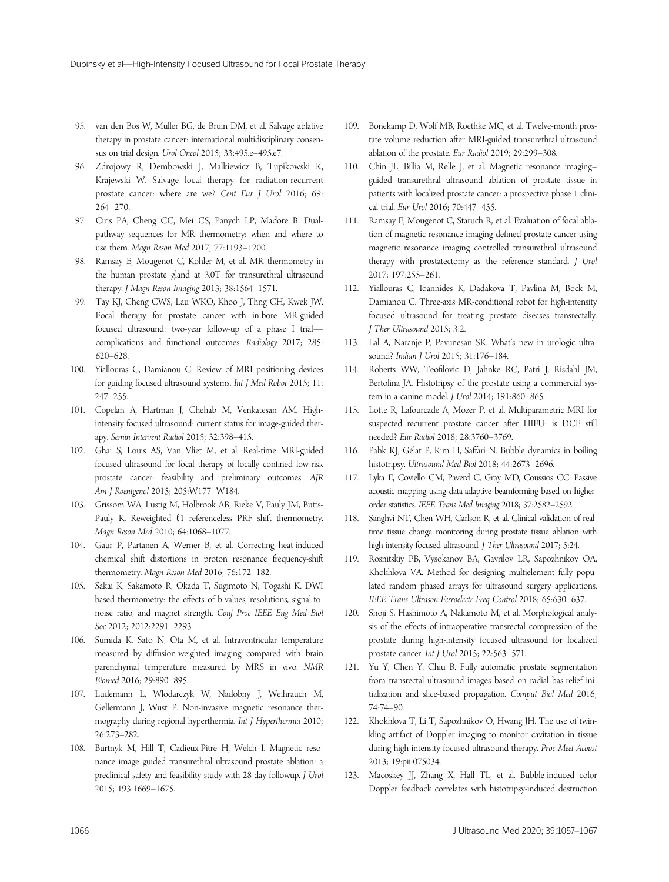- 95. van den Bos W, Muller BG, de Bruin DM, et al. Salvage ablative therapy in prostate cancer: international multidisciplinary consensus on trial design. Urol Oncol 2015; 33:495.e–495.e7.
- 96. Zdrojowy R, Dembowski J, Malkiewicz B, Tupikowski K, Krajewski W. Salvage local therapy for radiation-recurrent prostate cancer: where are we? Cent Eur J Urol 2016; 69: 264–270.
- 97. Ciris PA, Cheng CC, Mei CS, Panych LP, Madore B. Dualpathway sequences for MR thermometry: when and where to use them. Magn Reson Med 2017; 77:1193–1200.
- 98. Ramsay E, Mougenot C, Kohler M, et al. MR thermometry in the human prostate gland at 3.0T for transurethral ultrasound therapy. J Magn Reson Imaging 2013; 38:1564–1571.
- 99. Tay KJ, Cheng CWS, Lau WKO, Khoo J, Thng CH, Kwek JW. Focal therapy for prostate cancer with in-bore MR-guided focused ultrasound: two-year follow-up of a phase I trial complications and functional outcomes. Radiology 2017; 285: 620–628.
- 100. Yiallouras C, Damianou C. Review of MRI positioning devices for guiding focused ultrasound systems. Int J Med Robot 2015; 11: 247–255.
- 101. Copelan A, Hartman J, Chehab M, Venkatesan AM. Highintensity focused ultrasound: current status for image-guided therapy. Semin Intervent Radiol 2015; 32:398–415.
- 102. Ghai S, Louis AS, Van Vliet M, et al. Real-time MRI-guided focused ultrasound for focal therapy of locally confined low-risk prostate cancer: feasibility and preliminary outcomes. AJR Am J Roentgenol 2015; 205:W177–W184.
- 103. Grissom WA, Lustig M, Holbrook AB, Rieke V, Pauly JM, Butts-Pauly K. Reweighted  $\ell$ 1 referenceless PRF shift thermometry. Magn Reson Med 2010; 64:1068–1077.
- 104. Gaur P, Partanen A, Werner B, et al. Correcting heat-induced chemical shift distortions in proton resonance frequency-shift thermometry. Magn Reson Med 2016; 76:172–182.
- 105. Sakai K, Sakamoto R, Okada T, Sugimoto N, Togashi K. DWI based thermometry: the effects of b-values, resolutions, signal-tonoise ratio, and magnet strength. Conf Proc IEEE Eng Med Biol Soc 2012; 2012:2291–2293.
- 106. Sumida K, Sato N, Ota M, et al. Intraventricular temperature measured by diffusion-weighted imaging compared with brain parenchymal temperature measured by MRS in vivo. NMR Biomed 2016; 29:890–895.
- 107. Ludemann L, Wlodarczyk W, Nadobny J, Weihrauch M, Gellermann J, Wust P. Non-invasive magnetic resonance thermography during regional hyperthermia. Int J Hyperthermia 2010; 26:273–282.
- 108. Burtnyk M, Hill T, Cadieux-Pitre H, Welch I. Magnetic resonance image guided transurethral ultrasound prostate ablation: a preclinical safety and feasibility study with 28-day followup. J Urol 2015; 193:1669–1675.
- 109. Bonekamp D, Wolf MB, Roethke MC, et al. Twelve-month prostate volume reduction after MRI-guided transurethral ultrasound ablation of the prostate. Eur Radiol 2019; 29:299–308.
- 110. Chin JL, Billia M, Relle J, et al. Magnetic resonance imaging– guided transurethral ultrasound ablation of prostate tissue in patients with localized prostate cancer: a prospective phase 1 clinical trial. Eur Urol 2016; 70:447–455.
- 111. Ramsay E, Mougenot C, Staruch R, et al. Evaluation of focal ablation of magnetic resonance imaging defined prostate cancer using magnetic resonance imaging controlled transurethral ultrasound therapy with prostatectomy as the reference standard. J Urol 2017; 197:255–261.
- 112. Yiallouras C, Ioannides K, Dadakova T, Pavlina M, Bock M, Damianou C. Three-axis MR-conditional robot for high-intensity focused ultrasound for treating prostate diseases transrectally. J Ther Ultrasound 2015; 3:2.
- 113. Lal A, Naranje P, Pavunesan SK. What's new in urologic ultrasound? Indian J Urol 2015; 31:176–184.
- 114. Roberts WW, Teofilovic D, Jahnke RC, Patri J, Risdahl JM, Bertolina JA. Histotripsy of the prostate using a commercial system in a canine model. J Urol 2014; 191:860–865.
- 115. Lotte R, Lafourcade A, Mozer P, et al. Multiparametric MRI for suspected recurrent prostate cancer after HIFU: is DCE still needed? Eur Radiol 2018; 28:3760–3769.
- 116. Pahk KJ, Gélat P, Kim H, Saffari N. Bubble dynamics in boiling histotripsy. Ultrasound Med Biol 2018; 44:2673–2696.
- 117. Lyka E, Coviello CM, Paverd C, Gray MD, Coussios CC. Passive acoustic mapping using data-adaptive beamforming based on higherorder statistics. IEEE Trans Med Imaging 2018; 37:2582–2592.
- 118. Sanghvi NT, Chen WH, Carlson R, et al. Clinical validation of realtime tissue change monitoring during prostate tissue ablation with high intensity focused ultrasound. J Ther Ultrasound 2017; 5:24.
- 119. Rosnitskiy PB, Vysokanov BA, Gavrilov LR, Sapozhnikov OA, Khokhlova VA. Method for designing multielement fully populated random phased arrays for ultrasound surgery applications. IEEE Trans Ultrason Ferroelectr Freq Control 2018; 65:630–637.
- 120. Shoji S, Hashimoto A, Nakamoto M, et al. Morphological analysis of the effects of intraoperative transrectal compression of the prostate during high-intensity focused ultrasound for localized prostate cancer. Int J Urol 2015; 22:563–571.
- 121. Yu Y, Chen Y, Chiu B. Fully automatic prostate segmentation from transrectal ultrasound images based on radial bas-relief initialization and slice-based propagation. Comput Biol Med 2016; 74:74–90.
- 122. Khokhlova T, Li T, Sapozhnikov O, Hwang JH. The use of twinkling artifact of Doppler imaging to monitor cavitation in tissue during high intensity focused ultrasound therapy. Proc Meet Acoust 2013; 19:pii:075034.
- 123. Macoskey JJ, Zhang X, Hall TL, et al. Bubble-induced color Doppler feedback correlates with histotripsy-induced destruction